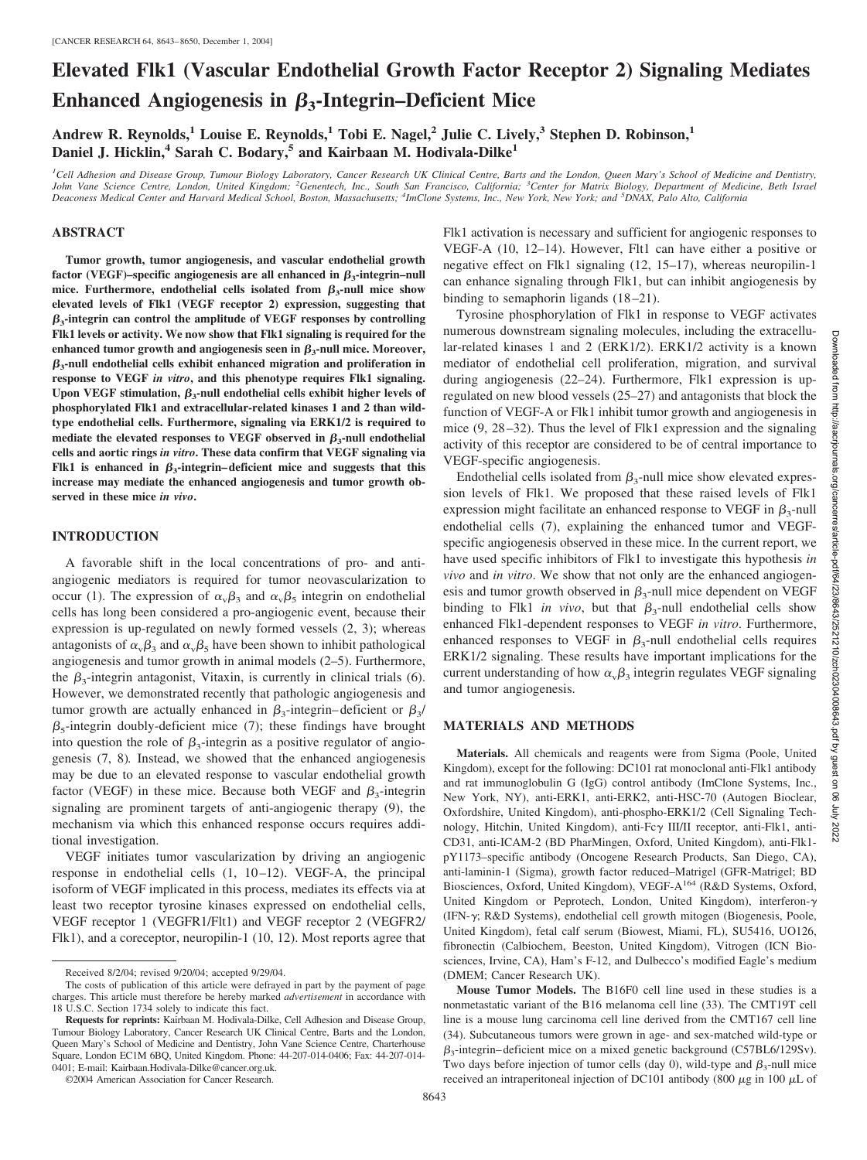# **Elevated Flk1 (Vascular Endothelial Growth Factor Receptor 2) Signaling Mediates Enhanced Angiogenesis in**  $\beta_3$ **-Integrin–Deficient Mice**

**Andrew R. Reynolds,1 Louise E. Reynolds,1 Tobi E. Nagel,2 Julie C. Lively,3 Stephen D. Robinson,1 Daniel J. Hicklin,<sup>4</sup> Sarah C. Bodary,<sup>5</sup> and Kairbaan M. Hodivala-Dilke<sup>1</sup>** 

*1 Cell Adhesion and Disease Group, Tumour Biology Laboratory, Cancer Research UK Clinical Centre, Barts and the London, Queen Mary's School of Medicine and Dentistry, John Vane Science Centre, London, United Kingdom; <sup>2</sup> Genentech, Inc., South San Francisco, California; <sup>3</sup> Center for Matrix Biology, Department of Medicine, Beth Israel Deaconess Medical Center and Harvard Medical School, Boston, Massachusetts; <sup>4</sup> ImClone Systems, Inc., New York, New York; and <sup>5</sup> DNAX, Palo Alto, California*

# **ABSTRACT**

**Tumor growth, tumor angiogenesis, and vascular endothelial growth** factor (VEGF)–specific angiogenesis are all enhanced in  $\beta_3$ -integrin–null mice. Furthermore, endothelial cells isolated from  $\beta_3$ -null mice show **elevated levels of Flk1 (VEGF receptor 2) expression, suggesting that**  $\beta_3$ -integrin can control the amplitude of VEGF responses by controlling **Flk1 levels or activity. We now show that Flk1 signaling is required for the** enhanced tumor growth and angiogenesis seen in  $\beta_3$ -null mice. Moreover,  $\beta_3$ -null endothelial cells exhibit enhanced migration and proliferation in **response to VEGF** *in vitro***, and this phenotype requires Flk1 signaling.** Upon VEGF stimulation,  $\beta_3$ -null endothelial cells exhibit higher levels of **phosphorylated Flk1 and extracellular-related kinases 1 and 2 than wildtype endothelial cells. Furthermore, signaling via ERK1/2 is required to** mediate the elevated responses to VEGF observed in  $\beta_3$ -null endothelial **cells and aortic rings** *in vitro***. These data confirm that VEGF signaling via Flk1** is enhanced in  $\beta_3$ -integrin–deficient mice and suggests that this **increase may mediate the enhanced angiogenesis and tumor growth observed in these mice** *in vivo***.**

### **INTRODUCTION**

A favorable shift in the local concentrations of pro- and antiangiogenic mediators is required for tumor neovascularization to occur (1). The expression of  $\alpha_{\rm v}\beta_3$  and  $\alpha_{\rm v}\beta_5$  integrin on endothelial cells has long been considered a pro-angiogenic event, because their expression is up-regulated on newly formed vessels (2, 3); whereas antagonists of  $\alpha_{\rm v}\beta_3$  and  $\alpha_{\rm v}\beta_5$  have been shown to inhibit pathological angiogenesis and tumor growth in animal models (2–5). Furthermore, the  $\beta_3$ -integrin antagonist, Vitaxin, is currently in clinical trials (6). However, we demonstrated recently that pathologic angiogenesis and tumor growth are actually enhanced in  $\beta_3$ -integrin-deficient or  $\beta_3$ /  $\beta_5$ -integrin doubly-deficient mice (7); these findings have brought into question the role of  $\beta_3$ -integrin as a positive regulator of angiogenesis (7, 8)*.* Instead, we showed that the enhanced angiogenesis may be due to an elevated response to vascular endothelial growth factor (VEGF) in these mice. Because both VEGF and  $\beta_3$ -integrin signaling are prominent targets of anti-angiogenic therapy (9), the mechanism via which this enhanced response occurs requires additional investigation.

VEGF initiates tumor vascularization by driving an angiogenic response in endothelial cells  $(1, 10-12)$ . VEGF-A, the principal isoform of VEGF implicated in this process, mediates its effects via at least two receptor tyrosine kinases expressed on endothelial cells, VEGF receptor 1 (VEGFR1/Flt1) and VEGF receptor 2 (VEGFR2/ Flk1), and a coreceptor, neuropilin-1 (10, 12). Most reports agree that

©2004 American Association for Cancer Research.

Flk1 activation is necessary and sufficient for angiogenic responses to VEGF-A (10, 12–14). However, Flt1 can have either a positive or negative effect on Flk1 signaling (12, 15–17), whereas neuropilin-1 can enhance signaling through Flk1, but can inhibit angiogenesis by binding to semaphorin ligands (18-21).

Tyrosine phosphorylation of Flk1 in response to VEGF activates numerous downstream signaling molecules, including the extracellular-related kinases 1 and 2 (ERK1/2). ERK1/2 activity is a known mediator of endothelial cell proliferation, migration, and survival during angiogenesis (22–24). Furthermore, Flk1 expression is upregulated on new blood vessels (25–27) and antagonists that block the function of VEGF-A or Flk1 inhibit tumor growth and angiogenesis in mice (9, 28 –32). Thus the level of Flk1 expression and the signaling activity of this receptor are considered to be of central importance to VEGF-specific angiogenesis.

Endothelial cells isolated from  $\beta_3$ -null mice show elevated expression levels of Flk1. We proposed that these raised levels of Flk1 expression might facilitate an enhanced response to VEGF in  $\beta_3$ -null endothelial cells (7), explaining the enhanced tumor and VEGFspecific angiogenesis observed in these mice. In the current report, we have used specific inhibitors of Flk1 to investigate this hypothesis *in vivo* and *in vitro*. We show that not only are the enhanced angiogenesis and tumor growth observed in  $\beta_3$ -null mice dependent on VEGF binding to Flk1 *in vivo*, but that  $\beta_3$ -null endothelial cells show enhanced Flk1-dependent responses to VEGF *in vitro*. Furthermore, enhanced responses to VEGF in  $\beta_3$ -null endothelial cells requires ERK1/2 signaling. These results have important implications for the current understanding of how  $\alpha_{\rm v}\beta_3$  integrin regulates VEGF signaling and tumor angiogenesis.

#### **MATERIALS AND METHODS**

**Materials.** All chemicals and reagents were from Sigma (Poole, United Kingdom), except for the following: DC101 rat monoclonal anti-Flk1 antibody and rat immunoglobulin G (IgG) control antibody (ImClone Systems, Inc., New York, NY), anti-ERK1, anti-ERK2, anti-HSC-70 (Autogen Bioclear, Oxfordshire, United Kingdom), anti-phospho-ERK1/2 (Cell Signaling Technology, Hitchin, United Kingdom), anti-Fc $\gamma$  III/II receptor, anti-Flk1, anti-CD31, anti-ICAM-2 (BD PharMingen, Oxford, United Kingdom), anti-Flk1 pY1173–specific antibody (Oncogene Research Products, San Diego, CA), anti-laminin-1 (Sigma), growth factor reduced–Matrigel (GFR-Matrigel; BD Biosciences, Oxford, United Kingdom), VEGF-A164 (R&D Systems, Oxford, United Kingdom or Peprotech, London, United Kingdom), interferon- $\gamma$ (IFN- $\gamma$ ; R&D Systems), endothelial cell growth mitogen (Biogenesis, Poole, United Kingdom), fetal calf serum (Biowest, Miami, FL), SU5416, UO126, fibronectin (Calbiochem, Beeston, United Kingdom), Vitrogen (ICN Biosciences, Irvine, CA), Ham's F-12, and Dulbecco's modified Eagle's medium (DMEM; Cancer Research UK).

**Mouse Tumor Models.** The B16F0 cell line used in these studies is a nonmetastatic variant of the B16 melanoma cell line (33). The CMT19T cell line is a mouse lung carcinoma cell line derived from the CMT167 cell line (34). Subcutaneous tumors were grown in age- and sex-matched wild-type or  $\beta_3$ -integrin– deficient mice on a mixed genetic background (C57BL6/129Sv). Two days before injection of tumor cells (day 0), wild-type and  $\beta_3$ -null mice received an intraperitoneal injection of DC101 antibody (800  $\mu$ g in 100  $\mu$ L of

Received 8/2/04; revised 9/20/04; accepted 9/29/04.

The costs of publication of this article were defrayed in part by the payment of page charges. This article must therefore be hereby marked *advertisement* in accordance with 18 U.S.C. Section 1734 solely to indicate this fact.

**Requests for reprints:** Kairbaan M. Hodivala-Dilke, Cell Adhesion and Disease Group, Tumour Biology Laboratory, Cancer Research UK Clinical Centre, Barts and the London, Queen Mary's School of Medicine and Dentistry, John Vane Science Centre, Charterhouse Square, London EC1M 6BQ, United Kingdom. Phone: 44-207-014-0406; Fax: 44-207-014- 0401; E-mail: Kairbaan.Hodivala-Dilke@cancer.org.uk.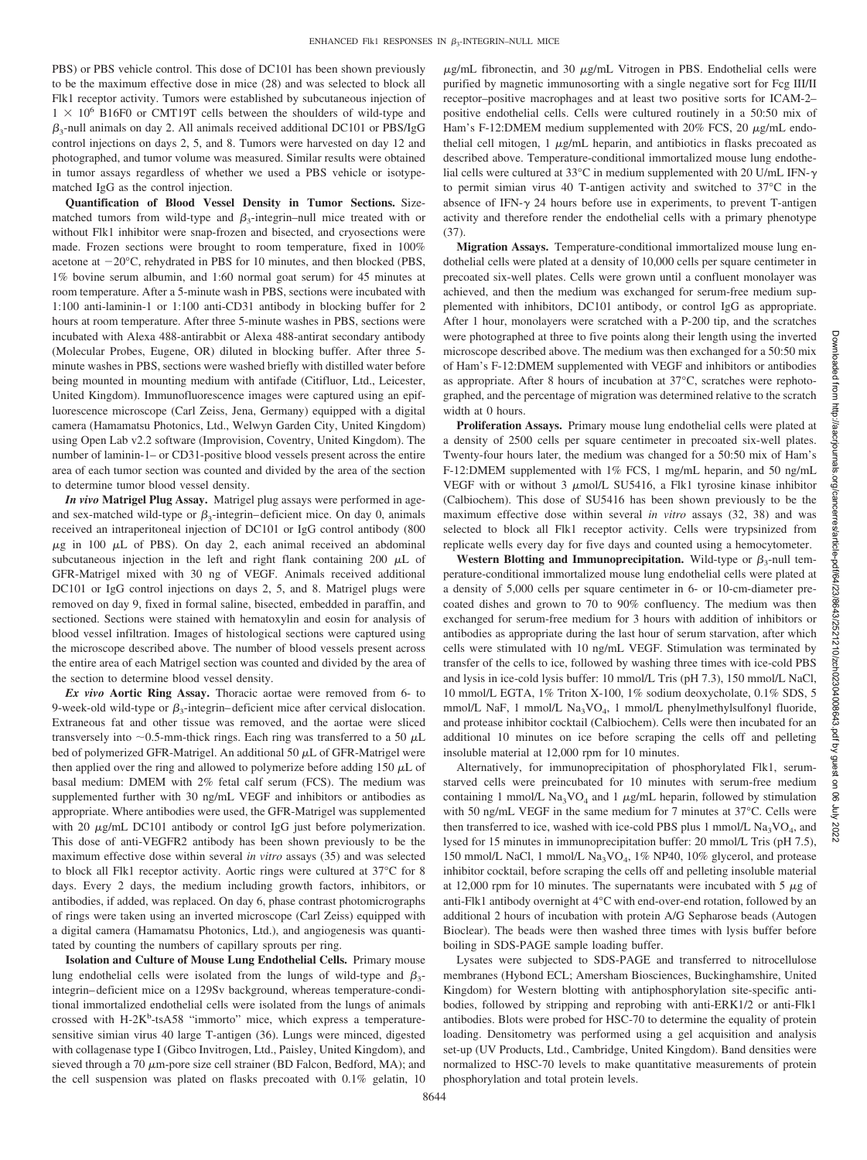PBS) or PBS vehicle control. This dose of DC101 has been shown previously to be the maximum effective dose in mice (28) and was selected to block all Flk1 receptor activity. Tumors were established by subcutaneous injection of  $1 \times 10^6$  B16F0 or CMT19T cells between the shoulders of wild-type and  $\beta_3$ -null animals on day 2. All animals received additional DC101 or PBS/IgG control injections on days 2, 5, and 8. Tumors were harvested on day 12 and photographed, and tumor volume was measured. Similar results were obtained in tumor assays regardless of whether we used a PBS vehicle or isotypematched IgG as the control injection.

**Quantification of Blood Vessel Density in Tumor Sections.** Sizematched tumors from wild-type and  $\beta_3$ -integrin–null mice treated with or without Flk1 inhibitor were snap-frozen and bisected, and cryosections were made. Frozen sections were brought to room temperature, fixed in 100% acetone at  $-20^{\circ}$ C, rehydrated in PBS for 10 minutes, and then blocked (PBS, 1% bovine serum albumin, and 1:60 normal goat serum) for 45 minutes at room temperature. After a 5-minute wash in PBS, sections were incubated with 1:100 anti-laminin-1 or 1:100 anti-CD31 antibody in blocking buffer for 2 hours at room temperature. After three 5-minute washes in PBS, sections were incubated with Alexa 488-antirabbit or Alexa 488-antirat secondary antibody (Molecular Probes, Eugene, OR) diluted in blocking buffer. After three 5 minute washes in PBS, sections were washed briefly with distilled water before being mounted in mounting medium with antifade (Citifluor, Ltd., Leicester, United Kingdom). Immunofluorescence images were captured using an epifluorescence microscope (Carl Zeiss, Jena, Germany) equipped with a digital camera (Hamamatsu Photonics, Ltd., Welwyn Garden City, United Kingdom) using Open Lab v2.2 software (Improvision, Coventry, United Kingdom). The number of laminin-1– or CD31-positive blood vessels present across the entire area of each tumor section was counted and divided by the area of the section to determine tumor blood vessel density.

*In vivo* **Matrigel Plug Assay.** Matrigel plug assays were performed in ageand sex-matched wild-type or  $\beta_3$ -integrin–deficient mice. On day 0, animals received an intraperitoneal injection of DC101 or IgG control antibody (800  $\mu$ g in 100  $\mu$ L of PBS). On day 2, each animal received an abdominal subcutaneous injection in the left and right flank containing 200  $\mu$ L of GFR-Matrigel mixed with 30 ng of VEGF. Animals received additional DC101 or IgG control injections on days 2, 5, and 8. Matrigel plugs were removed on day 9, fixed in formal saline, bisected, embedded in paraffin, and sectioned. Sections were stained with hematoxylin and eosin for analysis of blood vessel infiltration. Images of histological sections were captured using the microscope described above. The number of blood vessels present across the entire area of each Matrigel section was counted and divided by the area of the section to determine blood vessel density.

*Ex vivo* **Aortic Ring Assay.** Thoracic aortae were removed from 6- to 9-week-old wild-type or  $\beta_3$ -integrin–deficient mice after cervical dislocation. Extraneous fat and other tissue was removed, and the aortae were sliced transversely into  $\sim$ 0.5-mm-thick rings. Each ring was transferred to a 50  $\mu$ L bed of polymerized GFR-Matrigel. An additional 50  $\mu$ L of GFR-Matrigel were then applied over the ring and allowed to polymerize before adding  $150 \mu L$  of basal medium: DMEM with 2% fetal calf serum (FCS). The medium was supplemented further with 30 ng/mL VEGF and inhibitors or antibodies as appropriate. Where antibodies were used, the GFR-Matrigel was supplemented with 20  $\mu$ g/mL DC101 antibody or control IgG just before polymerization. This dose of anti-VEGFR2 antibody has been shown previously to be the maximum effective dose within several *in vitro* assays (35) and was selected to block all Flk1 receptor activity. Aortic rings were cultured at 37°C for 8 days. Every 2 days, the medium including growth factors, inhibitors, or antibodies, if added, was replaced. On day 6, phase contrast photomicrographs of rings were taken using an inverted microscope (Carl Zeiss) equipped with a digital camera (Hamamatsu Photonics, Ltd.), and angiogenesis was quantitated by counting the numbers of capillary sprouts per ring.

**Isolation and Culture of Mouse Lung Endothelial Cells.** Primary mouse lung endothelial cells were isolated from the lungs of wild-type and  $\beta_3$ integrin– deficient mice on a 129Sv background, whereas temperature-conditional immortalized endothelial cells were isolated from the lungs of animals crossed with H-2K<sup>b</sup>-tsA58 "immorto" mice, which express a temperaturesensitive simian virus 40 large T-antigen (36). Lungs were minced, digested with collagenase type I (Gibco Invitrogen, Ltd., Paisley, United Kingdom), and sieved through a 70  $\mu$ m-pore size cell strainer (BD Falcon, Bedford, MA); and the cell suspension was plated on flasks precoated with 0.1% gelatin, 10  $\mu$ g/mL fibronectin, and 30  $\mu$ g/mL Vitrogen in PBS. Endothelial cells were purified by magnetic immunosorting with a single negative sort for Fcg III/II receptor–positive macrophages and at least two positive sorts for ICAM-2– positive endothelial cells. Cells were cultured routinely in a 50:50 mix of Ham's F-12:DMEM medium supplemented with  $20\%$  FCS,  $20 \mu g/mL$  endothelial cell mitogen,  $1 \mu g/mL$  heparin, and antibiotics in flasks precoated as described above. Temperature-conditional immortalized mouse lung endothelial cells were cultured at 33 $^{\circ}$ C in medium supplemented with 20 U/mL IFN- $\gamma$ to permit simian virus 40 T-antigen activity and switched to 37°C in the absence of IFN- $\gamma$  24 hours before use in experiments, to prevent T-antigen activity and therefore render the endothelial cells with a primary phenotype (37).

**Migration Assays.** Temperature-conditional immortalized mouse lung endothelial cells were plated at a density of 10,000 cells per square centimeter in precoated six-well plates. Cells were grown until a confluent monolayer was achieved, and then the medium was exchanged for serum-free medium supplemented with inhibitors, DC101 antibody, or control IgG as appropriate. After 1 hour, monolayers were scratched with a P-200 tip, and the scratches were photographed at three to five points along their length using the inverted microscope described above. The medium was then exchanged for a 50:50 mix of Ham's F-12:DMEM supplemented with VEGF and inhibitors or antibodies as appropriate. After 8 hours of incubation at 37°C, scratches were rephotographed, and the percentage of migration was determined relative to the scratch width at 0 hours.

**Proliferation Assays.** Primary mouse lung endothelial cells were plated at a density of 2500 cells per square centimeter in precoated six-well plates. Twenty-four hours later, the medium was changed for a 50:50 mix of Ham's F-12:DMEM supplemented with 1% FCS, 1 mg/mL heparin, and 50 ng/mL VEGF with or without 3  $\mu$ mol/L SU5416, a Flk1 tyrosine kinase inhibitor (Calbiochem). This dose of SU5416 has been shown previously to be the maximum effective dose within several *in vitro* assays (32, 38) and was selected to block all Flk1 receptor activity. Cells were trypsinized from replicate wells every day for five days and counted using a hemocytometer.

**Western Blotting and Immunoprecipitation.** Wild-type or  $\beta_3$ -null temperature-conditional immortalized mouse lung endothelial cells were plated at a density of 5,000 cells per square centimeter in 6- or 10-cm-diameter precoated dishes and grown to 70 to 90% confluency. The medium was then exchanged for serum-free medium for 3 hours with addition of inhibitors or antibodies as appropriate during the last hour of serum starvation, after which cells were stimulated with 10 ng/mL VEGF. Stimulation was terminated by transfer of the cells to ice, followed by washing three times with ice-cold PBS and lysis in ice-cold lysis buffer: 10 mmol/L Tris (pH 7.3), 150 mmol/L NaCl, 10 mmol/L EGTA, 1% Triton X-100, 1% sodium deoxycholate, 0.1% SDS, 5 mmol/L NaF, 1 mmol/L Na<sub>3</sub>VO<sub>4</sub>, 1 mmol/L phenylmethylsulfonyl fluoride, and protease inhibitor cocktail (Calbiochem). Cells were then incubated for an additional 10 minutes on ice before scraping the cells off and pelleting insoluble material at 12,000 rpm for 10 minutes.

Alternatively, for immunoprecipitation of phosphorylated Flk1, serumstarved cells were preincubated for 10 minutes with serum-free medium containing 1 mmol/L Na<sub>3</sub>VO<sub>4</sub> and 1  $\mu$ g/mL heparin, followed by stimulation with 50 ng/mL VEGF in the same medium for 7 minutes at 37°C. Cells were then transferred to ice, washed with ice-cold PBS plus 1 mmol/L  $\text{Na}_3\text{VO}_4$ , and lysed for 15 minutes in immunoprecipitation buffer: 20 mmol/L Tris (pH 7.5), 150 mmol/L NaCl, 1 mmol/L  $\text{Na}_3\text{VO}_4$ , 1% NP40, 10% glycerol, and protease inhibitor cocktail, before scraping the cells off and pelleting insoluble material at 12,000 rpm for 10 minutes. The supernatants were incubated with 5  $\mu$ g of anti-Flk1 antibody overnight at 4°C with end-over-end rotation, followed by an additional 2 hours of incubation with protein A/G Sepharose beads (Autogen Bioclear). The beads were then washed three times with lysis buffer before boiling in SDS-PAGE sample loading buffer.

Lysates were subjected to SDS-PAGE and transferred to nitrocellulose membranes (Hybond ECL; Amersham Biosciences, Buckinghamshire, United Kingdom) for Western blotting with antiphosphorylation site-specific antibodies, followed by stripping and reprobing with anti-ERK1/2 or anti-Flk1 antibodies. Blots were probed for HSC-70 to determine the equality of protein loading. Densitometry was performed using a gel acquisition and analysis set-up (UV Products, Ltd., Cambridge, United Kingdom). Band densities were normalized to HSC-70 levels to make quantitative measurements of protein phosphorylation and total protein levels.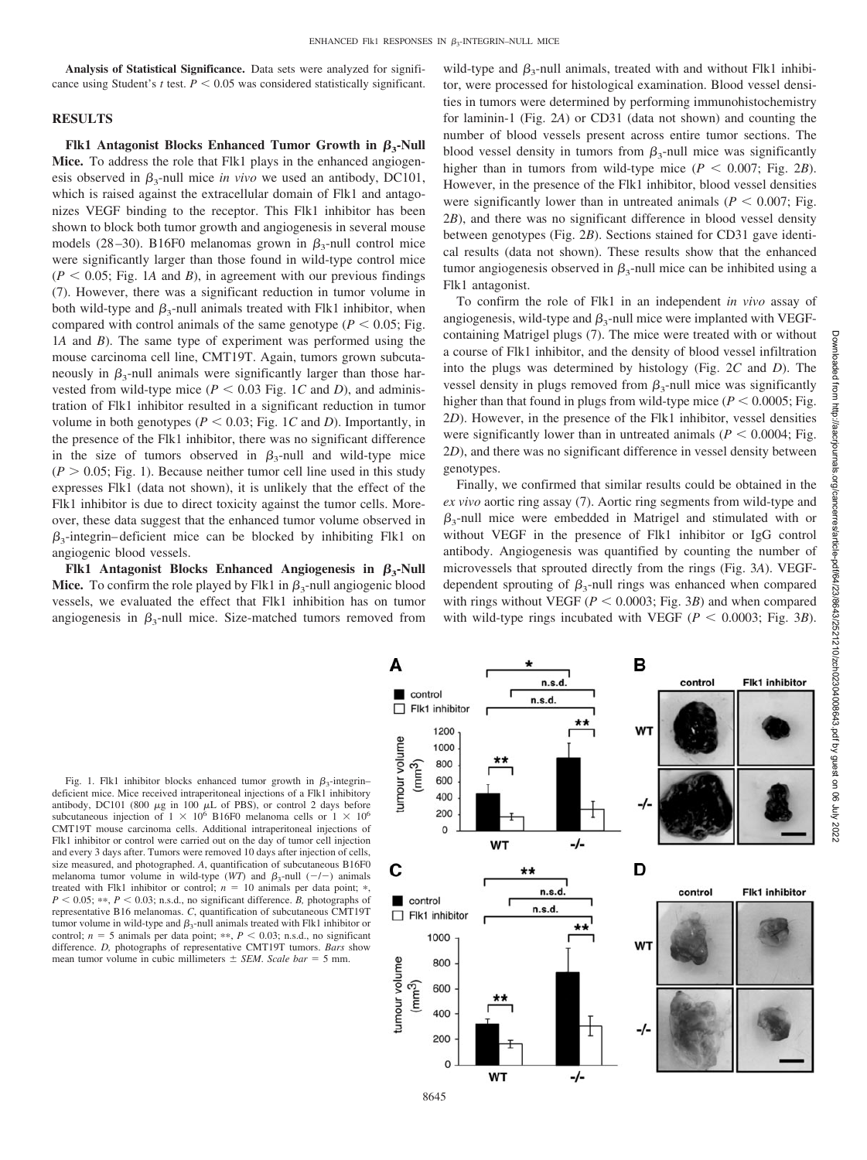**Analysis of Statistical Significance.** Data sets were analyzed for significance using Student's *t* test.  $P \leq 0.05$  was considered statistically significant.

# **RESULTS**

**Flk1** Antagonist Blocks Enhanced Tumor Growth in  $\beta_3$ -Null **Mice.** To address the role that Flk1 plays in the enhanced angiogenesis observed in  $\beta_3$ -null mice *in vivo* we used an antibody, DC101, which is raised against the extracellular domain of Flk1 and antagonizes VEGF binding to the receptor. This Flk1 inhibitor has been shown to block both tumor growth and angiogenesis in several mouse models (28–30). B16F0 melanomas grown in  $\beta_3$ -null control mice were significantly larger than those found in wild-type control mice  $(P < 0.05$ ; Fig. 1A and B), in agreement with our previous findings (7). However, there was a significant reduction in tumor volume in both wild-type and  $\beta_3$ -null animals treated with Flk1 inhibitor, when compared with control animals of the same genotype ( $P < 0.05$ ; Fig. 1*A* and *B*). The same type of experiment was performed using the mouse carcinoma cell line, CMT19T. Again, tumors grown subcutaneously in  $\beta_3$ -null animals were significantly larger than those harvested from wild-type mice ( $P < 0.03$  Fig. 1*C* and *D*), and administration of Flk1 inhibitor resulted in a significant reduction in tumor volume in both genotypes ( $P < 0.03$ ; Fig. 1*C* and *D*). Importantly, in the presence of the Flk1 inhibitor, there was no significant difference in the size of tumors observed in  $\beta_3$ -null and wild-type mice  $(P > 0.05; Fig. 1)$ . Because neither tumor cell line used in this study expresses Flk1 (data not shown), it is unlikely that the effect of the Flk1 inhibitor is due to direct toxicity against the tumor cells. Moreover, these data suggest that the enhanced tumor volume observed in  $\beta_3$ -integrin–deficient mice can be blocked by inhibiting Flk1 on angiogenic blood vessels.

**Flk1** Antagonist Blocks Enhanced Angiogenesis in  $\beta_3$ -Null **Mice.** To confirm the role played by Flk1 in  $\beta_3$ -null angiogenic blood vessels, we evaluated the effect that Flk1 inhibition has on tumor angiogenesis in  $\beta_3$ -null mice. Size-matched tumors removed from

wild-type and  $\beta_3$ -null animals, treated with and without Flk1 inhibitor, were processed for histological examination. Blood vessel densities in tumors were determined by performing immunohistochemistry for laminin-1 (Fig. 2*A*) or CD31 (data not shown) and counting the number of blood vessels present across entire tumor sections. The blood vessel density in tumors from  $\beta_3$ -null mice was significantly higher than in tumors from wild-type mice ( $P < 0.007$ ; Fig. 2*B*). However, in the presence of the Flk1 inhibitor, blood vessel densities were significantly lower than in untreated animals ( $P < 0.007$ ; Fig. 2*B*), and there was no significant difference in blood vessel density between genotypes (Fig. 2*B*). Sections stained for CD31 gave identical results (data not shown). These results show that the enhanced tumor angiogenesis observed in  $\beta_3$ -null mice can be inhibited using a Flk1 antagonist.

To confirm the role of Flk1 in an independent *in vivo* assay of angiogenesis, wild-type and  $\beta_3$ -null mice were implanted with VEGFcontaining Matrigel plugs (7). The mice were treated with or without a course of Flk1 inhibitor, and the density of blood vessel infiltration into the plugs was determined by histology (Fig. 2*C* and *D*). The vessel density in plugs removed from  $\beta_3$ -null mice was significantly higher than that found in plugs from wild-type mice ( $P < 0.0005$ ; Fig. 2*D*). However, in the presence of the Flk1 inhibitor, vessel densities were significantly lower than in untreated animals ( $P < 0.0004$ ; Fig. 2*D*), and there was no significant difference in vessel density between genotypes.

Finally, we confirmed that similar results could be obtained in the *ex vivo* aortic ring assay (7). Aortic ring segments from wild-type and  $\beta_3$ -null mice were embedded in Matrigel and stimulated with or without VEGF in the presence of Flk1 inhibitor or IgG control antibody. Angiogenesis was quantified by counting the number of microvessels that sprouted directly from the rings (Fig. 3*A*). VEGFdependent sprouting of  $\beta_3$ -null rings was enhanced when compared with rings without VEGF ( $P < 0.0003$ ; Fig. 3*B*) and when compared with wild-type rings incubated with VEGF ( $P < 0.0003$ ; Fig. 3*B*).

Fig. 1. Flk1 inhibitor blocks enhanced tumor growth in  $\beta_3$ -integrin– deficient mice. Mice received intraperitoneal injections of a Flk1 inhibitory antibody, DC101 (800  $\mu$ g in 100  $\mu$ L of PBS), or control 2 days before subcutaneous injection of  $1 \times 10^6$  B16F0 melanoma cells or  $1 \times 10^6$ CMT19T mouse carcinoma cells. Additional intraperitoneal injections of Flk1 inhibitor or control were carried out on the day of tumor cell injection and every 3 days after. Tumors were removed 10 days after injection of cells, size measured, and photographed. *A*, quantification of subcutaneous B16F0 melanoma tumor volume in wild-type  $(WT)$  and  $\beta_3$ -null  $(-/-)$  animals treated with Flk1 inhibitor or control;  $n = 10$  animals per data point;  $*$ ,  $P < 0.05$ ; \*\*,  $P < 0.03$ ; n.s.d., no significant difference. *B*, photographs of representative B16 melanomas. *C*, quantification of subcutaneous CMT19T tumor volume in wild-type and  $\beta_3$ -null animals treated with Flk1 inhibitor or control;  $n = 5$  animals per data point; \*\*,  $P < 0.03$ ; n.s.d., no significant difference. *D,* photographs of representative CMT19T tumors. *Bars* show mean tumor volume in cubic millimeters  $\pm$  *SEM*. *Scale bar* = 5 mm.

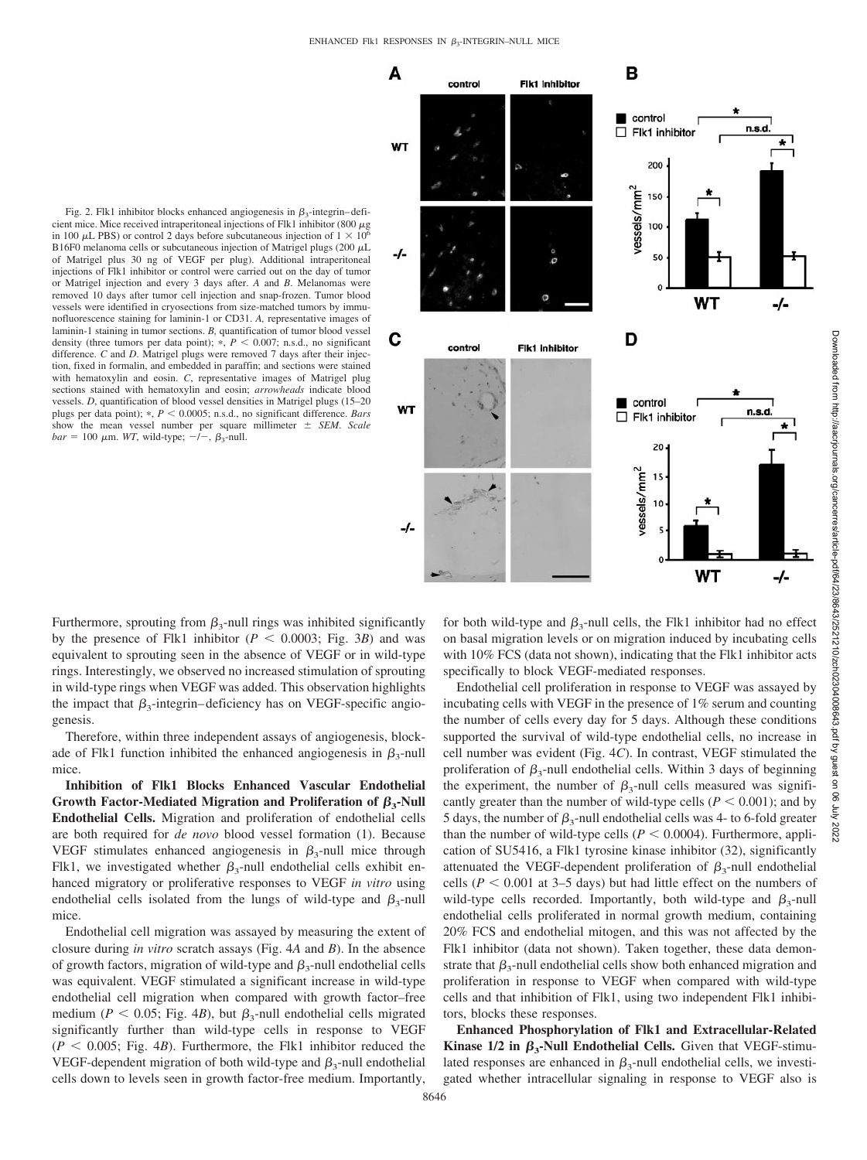

Fig. 2. Flk1 inhibitor blocks enhanced angiogenesis in  $\beta_3$ -integrin-deficient mice. Mice received intraperitoneal injections of Flk1 inhibitor (800  $\mu$ g in 100  $\mu$ L PBS) or control 2 days before subcutaneous injection of  $1 \times 10^6$ B16F0 melanoma cells or subcutaneous injection of Matrigel plugs (200  $\mu$ L of Matrigel plus 30 ng of VEGF per plug). Additional intraperitoneal injections of Flk1 inhibitor or control were carried out on the day of tumor or Matrigel injection and every 3 days after. *A* and *B*. Melanomas were removed 10 days after tumor cell injection and snap-frozen. Tumor blood vessels were identified in cryosections from size-matched tumors by immunofluorescence staining for laminin-1 or CD31. *A,* representative images of laminin-1 staining in tumor sections. *B,* quantification of tumor blood vessel density (three tumors per data point);  $*, P < 0.007$ ; n.s.d., no significant difference. *C* and *D*. Matrigel plugs were removed 7 days after their injection, fixed in formalin, and embedded in paraffin; and sections were stained with hematoxylin and eosin. *C*, representative images of Matrigel plug sections stained with hematoxylin and eosin; *arrowheads* indicate blood vessels. *D*, quantification of blood vessel densities in Matrigel plugs (15–20 plugs per data point); \*,  $P < 0.0005$ ; n.s.d., no significant difference. *Bars* show the mean vessel number per square millimeter *SEM*. *Scale*  $bar = 100 \mu \text{m}$ . *WT*, wild-type;  $-/-$ ,  $\beta_3$ -null.

Furthermore, sprouting from  $\beta_3$ -null rings was inhibited significantly by the presence of Flk1 inhibitor  $(P < 0.0003$ ; Fig. 3*B*) and was equivalent to sprouting seen in the absence of VEGF or in wild-type rings. Interestingly, we observed no increased stimulation of sprouting in wild-type rings when VEGF was added. This observation highlights the impact that  $\beta_3$ -integrin–deficiency has on VEGF-specific angiogenesis.

Therefore, within three independent assays of angiogenesis, blockade of Flk1 function inhibited the enhanced angiogenesis in  $\beta_3$ -null mice.

**Inhibition of Flk1 Blocks Enhanced Vascular Endothelial** Growth Factor-Mediated Migration and Proliferation of  $\beta_3$ -Null **Endothelial Cells.** Migration and proliferation of endothelial cells are both required for *de novo* blood vessel formation (1). Because VEGF stimulates enhanced angiogenesis in  $\beta_3$ -null mice through Flk1, we investigated whether  $\beta_3$ -null endothelial cells exhibit enhanced migratory or proliferative responses to VEGF *in vitro* using endothelial cells isolated from the lungs of wild-type and  $\beta_3$ -null mice.

Endothelial cell migration was assayed by measuring the extent of closure during *in vitro* scratch assays (Fig. 4*A* and *B*). In the absence of growth factors, migration of wild-type and  $\beta_3$ -null endothelial cells was equivalent. VEGF stimulated a significant increase in wild-type endothelial cell migration when compared with growth factor–free medium ( $P < 0.05$ ; Fig. 4*B*), but  $\beta_3$ -null endothelial cells migrated significantly further than wild-type cells in response to VEGF  $(P < 0.005$ ; Fig. 4*B*). Furthermore, the Flk1 inhibitor reduced the VEGF-dependent migration of both wild-type and  $\beta_3$ -null endothelial cells down to levels seen in growth factor-free medium. Importantly,

for both wild-type and  $\beta_3$ -null cells, the Flk1 inhibitor had no effect on basal migration levels or on migration induced by incubating cells with 10% FCS (data not shown), indicating that the Flk1 inhibitor acts specifically to block VEGF-mediated responses.

Endothelial cell proliferation in response to VEGF was assayed by incubating cells with VEGF in the presence of 1% serum and counting the number of cells every day for 5 days. Although these conditions supported the survival of wild-type endothelial cells, no increase in cell number was evident (Fig. 4*C*). In contrast, VEGF stimulated the proliferation of  $\beta_3$ -null endothelial cells. Within 3 days of beginning the experiment, the number of  $\beta_3$ -null cells measured was significantly greater than the number of wild-type cells ( $P < 0.001$ ); and by 5 days, the number of  $\beta_3$ -null endothelial cells was 4- to 6-fold greater than the number of wild-type cells ( $P \le 0.0004$ ). Furthermore, application of SU5416, a Flk1 tyrosine kinase inhibitor (32), significantly attenuated the VEGF-dependent proliferation of  $\beta_3$ -null endothelial cells ( $P < 0.001$  at 3–5 days) but had little effect on the numbers of wild-type cells recorded. Importantly, both wild-type and  $\beta_3$ -null endothelial cells proliferated in normal growth medium, containing 20% FCS and endothelial mitogen, and this was not affected by the Flk1 inhibitor (data not shown). Taken together, these data demonstrate that  $\beta_3$ -null endothelial cells show both enhanced migration and proliferation in response to VEGF when compared with wild-type cells and that inhibition of Flk1, using two independent Flk1 inhibitors, blocks these responses.

**Enhanced Phosphorylation of Flk1 and Extracellular-Related Kinase 1/2 in**  $\beta_3$ **-Null Endothelial Cells.** Given that VEGF-stimulated responses are enhanced in  $\beta_3$ -null endothelial cells, we investigated whether intracellular signaling in response to VEGF also is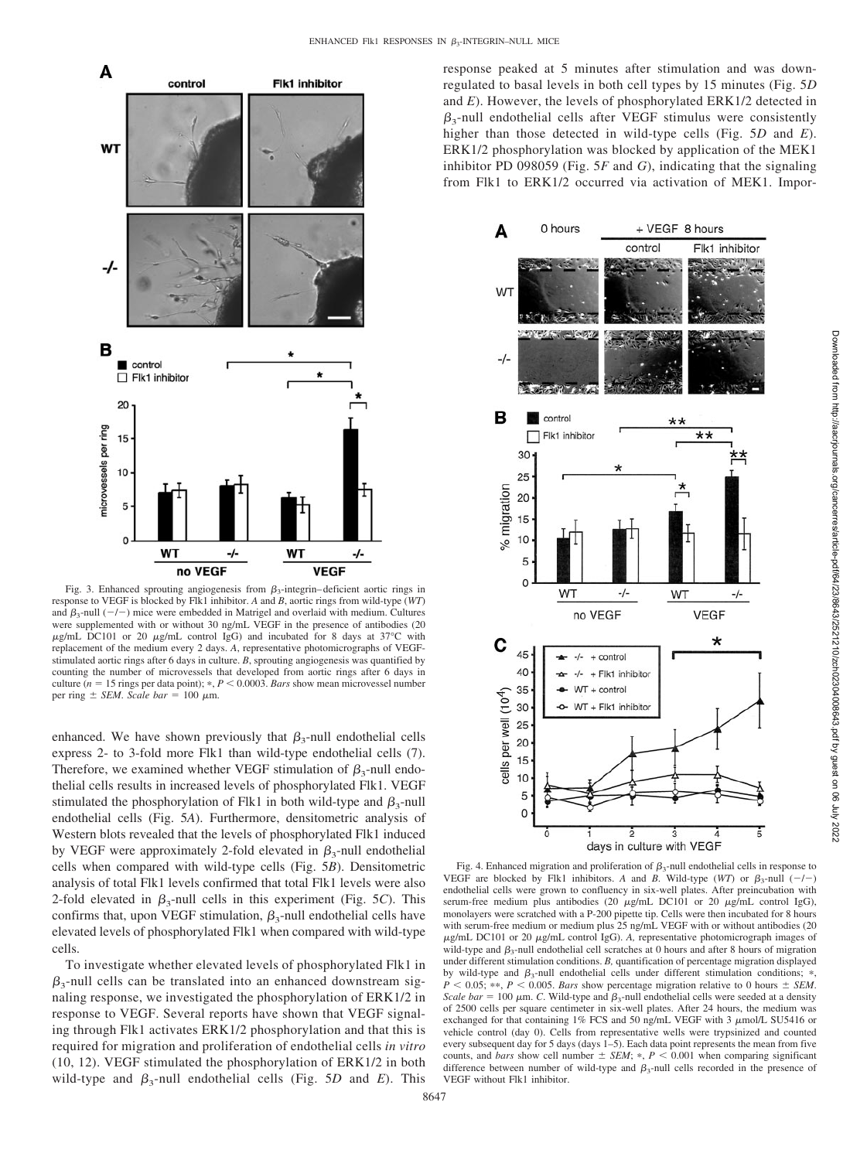

Fig. 3. Enhanced sprouting angiogenesis from  $\beta_3$ -integrin-deficient aortic rings in response to VEGF is blocked by Flk1 inhibitor. *A* and *B*, aortic rings from wild-type (*WT*) and  $\beta_3$ -null  $(-/-)$  mice were embedded in Matrigel and overlaid with medium. Cultures were supplemented with or without 30 ng/mL VEGF in the presence of antibodies (20  $\mu$ g/mL DC101 or 20  $\mu$ g/mL control IgG) and incubated for 8 days at 37°C with replacement of the medium every 2 days. *A*, representative photomicrographs of VEGFstimulated aortic rings after 6 days in culture. *B*, sprouting angiogenesis was quantified by counting the number of microvessels that developed from aortic rings after 6 days in culture ( $n = 15$  rings per data point); \*,  $P < 0.0003$ . *Bars* show mean microvessel number per ring  $\pm$  *SEM*. *Scale bar* = 100  $\mu$ m.

enhanced. We have shown previously that  $\beta_3$ -null endothelial cells express 2- to 3-fold more Flk1 than wild-type endothelial cells (7). Therefore, we examined whether VEGF stimulation of  $\beta_3$ -null endothelial cells results in increased levels of phosphorylated Flk1. VEGF stimulated the phosphorylation of Flk1 in both wild-type and  $\beta_3$ -null endothelial cells (Fig. 5*A*). Furthermore, densitometric analysis of Western blots revealed that the levels of phosphorylated Flk1 induced by VEGF were approximately 2-fold elevated in  $\beta_3$ -null endothelial cells when compared with wild-type cells (Fig. 5*B*). Densitometric analysis of total Flk1 levels confirmed that total Flk1 levels were also 2-fold elevated in  $\beta_3$ -null cells in this experiment (Fig. 5*C*). This confirms that, upon VEGF stimulation,  $\beta_3$ -null endothelial cells have elevated levels of phosphorylated Flk1 when compared with wild-type cells.

To investigate whether elevated levels of phosphorylated Flk1 in  $\beta_3$ -null cells can be translated into an enhanced downstream signaling response, we investigated the phosphorylation of ERK1/2 in response to VEGF. Several reports have shown that VEGF signaling through Flk1 activates ERK1/2 phosphorylation and that this is required for migration and proliferation of endothelial cells *in vitro* (10, 12). VEGF stimulated the phosphorylation of ERK1/2 in both wild-type and  $\beta_3$ -null endothelial cells (Fig. 5*D* and *E*). This

response peaked at 5 minutes after stimulation and was downregulated to basal levels in both cell types by 15 minutes (Fig. 5*D* and *E*). However, the levels of phosphorylated ERK1/2 detected in  $\beta_3$ -null endothelial cells after VEGF stimulus were consistently higher than those detected in wild-type cells (Fig. 5*D* and *E*). ERK1/2 phosphorylation was blocked by application of the MEK1 inhibitor PD 098059 (Fig. 5*F* and *G*), indicating that the signaling from Flk1 to ERK1/2 occurred via activation of MEK1. Impor-



Fig. 4. Enhanced migration and proliferation of  $\beta_3$ -null endothelial cells in response to VEGF are blocked by Flk1 inhibitors. A and *B*. Wild-type (*WT*) or  $\beta_3$ -null (-/-) endothelial cells were grown to confluency in six-well plates. After preincubation with serum-free medium plus antibodies (20  $\mu$ g/mL DC101 or 20  $\mu$ g/mL control IgG), monolayers were scratched with a P-200 pipette tip. Cells were then incubated for 8 hours with serum-free medium or medium plus 25 ng/mL VEGF with or without antibodies (20  $\mu$ g/mL DC101 or 20  $\mu$ g/mL control IgG). A, representative photomicrograph images of wild-type and  $\beta_3$ -null endothelial cell scratches at 0 hours and after 8 hours of migration under different stimulation conditions. *B,* quantification of percentage migration displayed by wild-type and  $\beta_3$ -null endothelial cells under different stimulation conditions; \*,  $P < 0.05$ ; \*\*,  $P < 0.005$ . *Bars* show percentage migration relative to 0 hours  $\pm$  *SEM*. *Scale bar* = 100  $\mu$ m. *C*. Wild-type and  $\beta_3$ -null endothelial cells were seeded at a density of 2500 cells per square centimeter in six-well plates. After 24 hours, the medium was exchanged for that containing 1% FCS and 50 ng/mL VEGF with 3  $\mu$ mol/L SU5416 or vehicle control (day 0). Cells from representative wells were trypsinized and counted every subsequent day for 5 days (days 1–5). Each data point represents the mean from five counts, and *bars* show cell number  $\pm$  *SEM*;  $\ast$ ,  $P$  < 0.001 when comparing significant difference between number of wild-type and  $\beta_3$ -null cells recorded in the presence of VEGF without Flk1 inhibitor.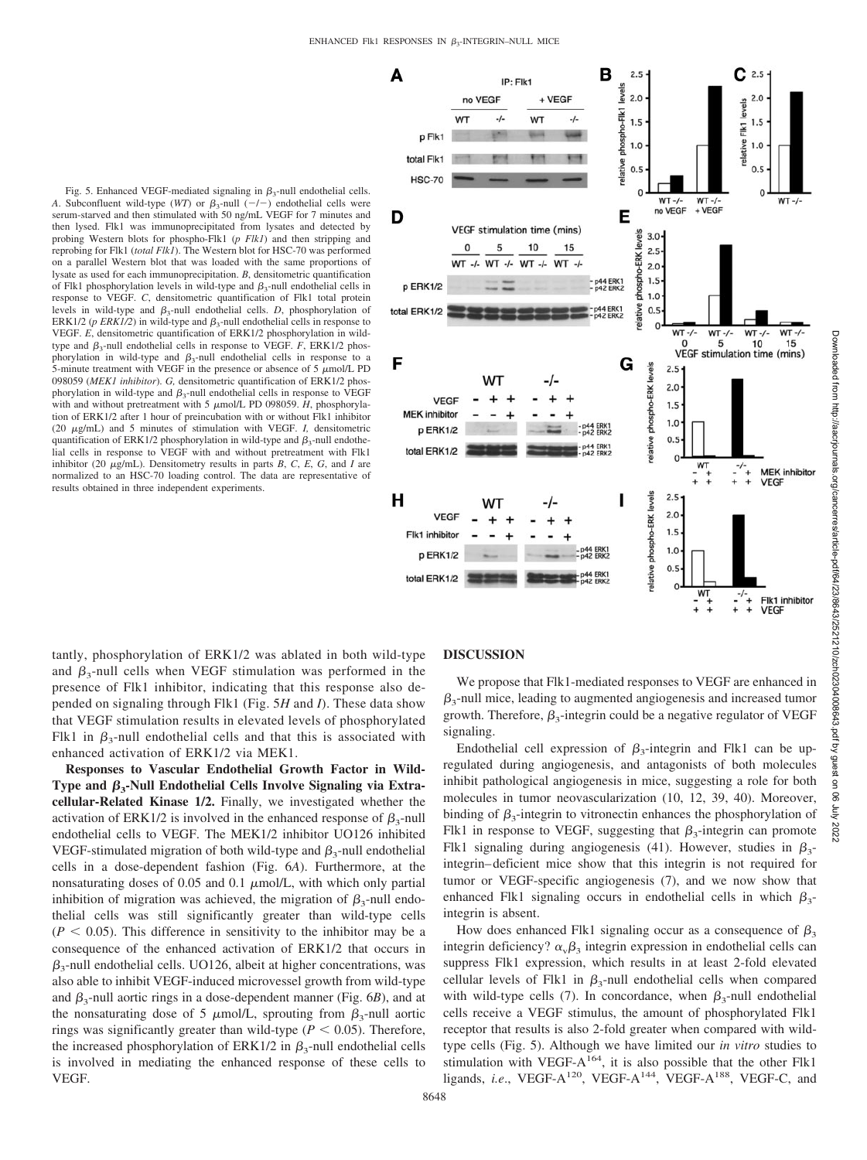Fig. 5. Enhanced VEGF-mediated signaling in  $\beta_3$ -null endothelial cells. *A*. Subconfluent wild-type (*WT*) or  $\beta_3$ -null (-/-) endothelial cells were serum-starved and then stimulated with 50 ng/mL VEGF for 7 minutes and then lysed. Flk1 was immunoprecipitated from lysates and detected by probing Western blots for phospho-Flk1 (*p Flk1*) and then stripping and reprobing for Flk1 (*total Flk1*). The Western blot for HSC-70 was performed on a parallel Western blot that was loaded with the same proportions of lysate as used for each immunoprecipitation. *B*, densitometric quantification of Flk1 phosphorylation levels in wild-type and  $\beta_3$ -null endothelial cells in response to VEGF. *C*, densitometric quantification of Flk1 total protein levels in wild-type and  $\beta_3$ -null endothelial cells. *D*, phosphorylation of ERK1/2 ( $p$  ERK1/2) in wild-type and  $\beta_3$ -null endothelial cells in response to VEGF. *E*, densitometric quantification of ERK1/2 phosphorylation in wildtype and  $\beta_3$ -null endothelial cells in response to VEGF. *F*, ERK1/2 phosphorylation in wild-type and  $\beta_3$ -null endothelial cells in response to a 5-minute treatment with VEGF in the presence or absence of 5  $\mu$ mol/L PD 098059 (*MEK1 inhibitor*). *G,* densitometric quantification of ERK1/2 phosphorylation in wild-type and  $\beta_3$ -null endothelial cells in response to VEGF with and without pretreatment with  $5 \mu$ mol/L PD 098059. *H*, phosphorylation of ERK1/2 after 1 hour of preincubation with or without Flk1 inhibitor (20  $\mu$ g/mL) and 5 minutes of stimulation with VEGF. *I*, densitometric quantification of ERK1/2 phosphorylation in wild-type and  $\beta_3$ -null endothelial cells in response to VEGF with and without pretreatment with Flk1 inhibitor (20  $\mu$ g/mL). Densitometry results in parts *B*, *C*, *E*, *G*, and *I* are normalized to an HSC-70 loading control. The data are representative of results obtained in three independent experiments.



tantly, phosphorylation of ERK1/2 was ablated in both wild-type and  $\beta_3$ -null cells when VEGF stimulation was performed in the presence of Flk1 inhibitor, indicating that this response also depended on signaling through Flk1 (Fig. 5*H* and *I*). These data show that VEGF stimulation results in elevated levels of phosphorylated Flk1 in  $\beta_3$ -null endothelial cells and that this is associated with enhanced activation of ERK1/2 via MEK1.

**Responses to Vascular Endothelial Growth Factor in Wild-Type and 3-Null Endothelial Cells Involve Signaling via Extracellular-Related Kinase 1/2.** Finally, we investigated whether the activation of ERK1/2 is involved in the enhanced response of  $\beta_3$ -null endothelial cells to VEGF. The MEK1/2 inhibitor UO126 inhibited VEGF-stimulated migration of both wild-type and  $\beta_3$ -null endothelial cells in a dose-dependent fashion (Fig. 6*A*). Furthermore, at the nonsaturating doses of 0.05 and 0.1  $\mu$ mol/L, with which only partial inhibition of migration was achieved, the migration of  $\beta_3$ -null endothelial cells was still significantly greater than wild-type cells  $(P \leq 0.05)$ . This difference in sensitivity to the inhibitor may be a consequence of the enhanced activation of ERK1/2 that occurs in  $\beta_3$ -null endothelial cells. UO126, albeit at higher concentrations, was also able to inhibit VEGF-induced microvessel growth from wild-type and  $\beta_3$ -null aortic rings in a dose-dependent manner (Fig. 6*B*), and at the nonsaturating dose of 5  $\mu$ mol/L, sprouting from  $\beta_3$ -null aortic rings was significantly greater than wild-type  $(P < 0.05)$ . Therefore, the increased phosphorylation of ERK1/2 in  $\beta_3$ -null endothelial cells is involved in mediating the enhanced response of these cells to VEGF.

## **DISCUSSION**

We propose that Flk1-mediated responses to VEGF are enhanced in  $\beta_3$ -null mice, leading to augmented angiogenesis and increased tumor growth. Therefore,  $\beta_3$ -integrin could be a negative regulator of VEGF signaling.

Endothelial cell expression of  $\beta_3$ -integrin and Flk1 can be upregulated during angiogenesis, and antagonists of both molecules inhibit pathological angiogenesis in mice, suggesting a role for both molecules in tumor neovascularization (10, 12, 39, 40). Moreover, binding of  $\beta_3$ -integrin to vitronectin enhances the phosphorylation of Flk1 in response to VEGF, suggesting that  $\beta_3$ -integrin can promote Flk1 signaling during angiogenesis (41). However, studies in  $\beta_3$ integrin– deficient mice show that this integrin is not required for tumor or VEGF-specific angiogenesis (7), and we now show that enhanced Flk1 signaling occurs in endothelial cells in which  $\beta_3$ integrin is absent.

How does enhanced Flk1 signaling occur as a consequence of  $\beta_3$ integrin deficiency?  $\alpha_{\rm v}\beta_3$  integrin expression in endothelial cells can suppress Flk1 expression, which results in at least 2-fold elevated cellular levels of Flk1 in  $\beta_3$ -null endothelial cells when compared with wild-type cells (7). In concordance, when  $\beta_3$ -null endothelial cells receive a VEGF stimulus, the amount of phosphorylated Flk1 receptor that results is also 2-fold greater when compared with wildtype cells (Fig. 5). Although we have limited our *in vitro* studies to stimulation with VEGF- $A^{164}$ , it is also possible that the other Flk1 ligands, *i.e.*, VEGF-A<sup>120</sup>, VEGF-A<sup>144</sup>, VEGF-A<sup>188</sup>, VEGF-C, and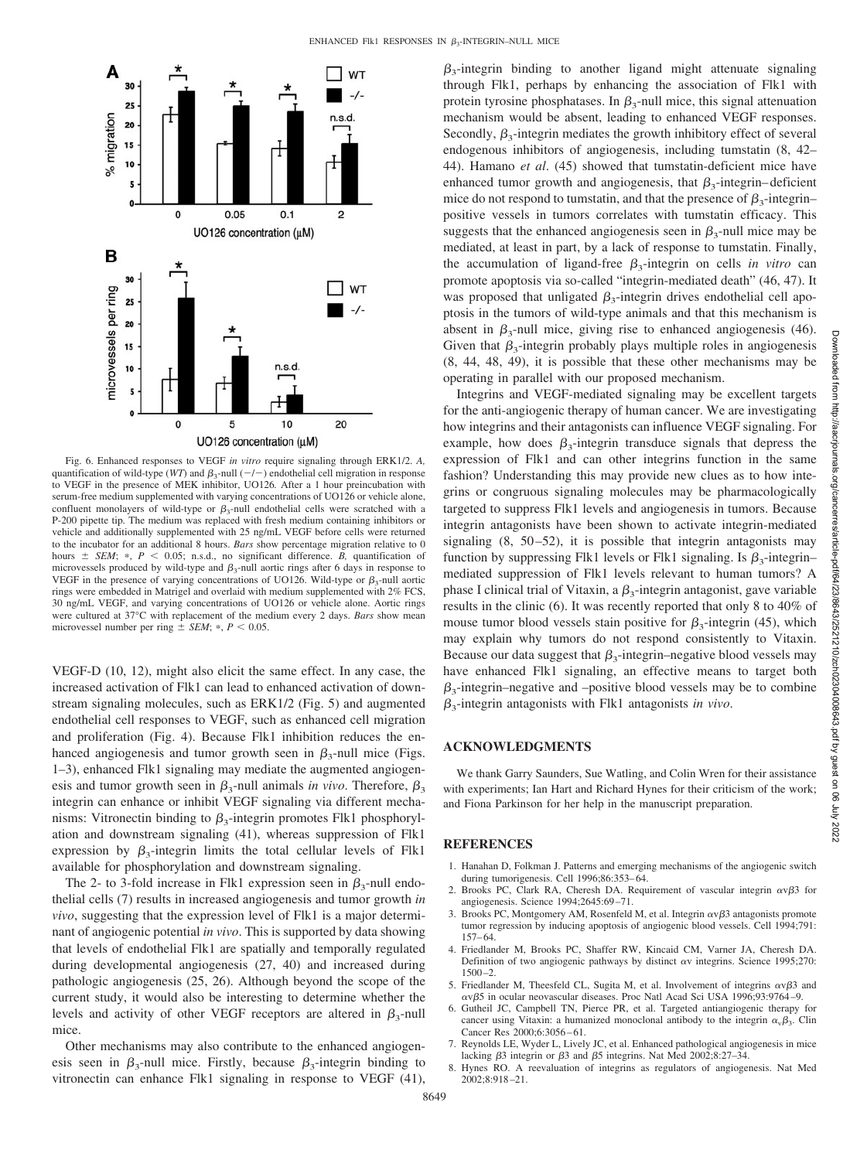

Fig. 6. Enhanced responses to VEGF *in vitro* require signaling through ERK1/2. *A,* quantification of wild-type (*WT*) and  $\beta_3$ -null (-/-) endothelial cell migration in response to VEGF in the presence of MEK inhibitor, UO126*.* After a 1 hour preincubation with serum-free medium supplemented with varying concentrations of UO126 or vehicle alone, confluent monolayers of wild-type or  $\beta_3$ -null endothelial cells were scratched with a P-200 pipette tip. The medium was replaced with fresh medium containing inhibitors or vehicle and additionally supplemented with 25 ng/mL VEGF before cells were returned to the incubator for an additional 8 hours. *Bars* show percentage migration relative to 0 hours  $\pm$  *SEM*;  $*$ ,  $P$  < 0.05; n.s.d., no significant difference. *B*, quantification of microvessels produced by wild-type and  $\beta_3$ -null aortic rings after 6 days in response to VEGF in the presence of varying concentrations of UO126. Wild-type or  $\beta_3$ -null aortic rings were embedded in Matrigel and overlaid with medium supplemented with 2% FCS, 30 ng/mL VEGF, and varying concentrations of UO126 or vehicle alone. Aortic rings were cultured at 37°C with replacement of the medium every 2 days. *Bars* show mean microvessel number per ring  $\pm$  *SEM*;  $\ast$ ,  $P < 0.05$ .

VEGF-D (10, 12), might also elicit the same effect. In any case, the increased activation of Flk1 can lead to enhanced activation of downstream signaling molecules, such as ERK1/2 (Fig. 5) and augmented endothelial cell responses to VEGF, such as enhanced cell migration and proliferation (Fig. 4). Because Flk1 inhibition reduces the enhanced angiogenesis and tumor growth seen in  $\beta_3$ -null mice (Figs. 1–3), enhanced Flk1 signaling may mediate the augmented angiogenesis and tumor growth seen in  $\beta_3$ -null animals *in vivo*. Therefore,  $\beta_3$ integrin can enhance or inhibit VEGF signaling via different mechanisms: Vitronectin binding to  $\beta_3$ -integrin promotes Flk1 phosphorylation and downstream signaling (41), whereas suppression of Flk1 expression by  $\beta_3$ -integrin limits the total cellular levels of Flk1 available for phosphorylation and downstream signaling.

The 2- to 3-fold increase in Flk1 expression seen in  $\beta_3$ -null endothelial cells (7) results in increased angiogenesis and tumor growth *in vivo*, suggesting that the expression level of Flk1 is a major determinant of angiogenic potential *in vivo*. This is supported by data showing that levels of endothelial Flk1 are spatially and temporally regulated during developmental angiogenesis (27, 40) and increased during pathologic angiogenesis (25, 26). Although beyond the scope of the current study, it would also be interesting to determine whether the levels and activity of other VEGF receptors are altered in  $\beta_3$ -null mice.

Other mechanisms may also contribute to the enhanced angiogenesis seen in  $\beta_3$ -null mice. Firstly, because  $\beta_3$ -integrin binding to vitronectin can enhance Flk1 signaling in response to VEGF (41),

 $\beta_3$ -integrin binding to another ligand might attenuate signaling through Flk1, perhaps by enhancing the association of Flk1 with protein tyrosine phosphatases. In  $\beta_3$ -null mice, this signal attenuation mechanism would be absent, leading to enhanced VEGF responses. Secondly,  $\beta_3$ -integrin mediates the growth inhibitory effect of several endogenous inhibitors of angiogenesis, including tumstatin (8, 42– 44). Hamano *et al*. (45) showed that tumstatin-deficient mice have enhanced tumor growth and angiogenesis, that  $\beta_3$ -integrin–deficient mice do not respond to tumstatin, and that the presence of  $\beta_3$ -integrin– positive vessels in tumors correlates with tumstatin efficacy. This suggests that the enhanced angiogenesis seen in  $\beta_3$ -null mice may be mediated, at least in part, by a lack of response to tumstatin. Finally, the accumulation of ligand-free  $\beta_3$ -integrin on cells *in vitro* can promote apoptosis via so-called "integrin-mediated death" (46, 47). It was proposed that unligated  $\beta_3$ -integrin drives endothelial cell apoptosis in the tumors of wild-type animals and that this mechanism is absent in  $\beta_3$ -null mice, giving rise to enhanced angiogenesis (46). Given that  $\beta_3$ -integrin probably plays multiple roles in angiogenesis (8, 44, 48, 49), it is possible that these other mechanisms may be operating in parallel with our proposed mechanism.

Integrins and VEGF-mediated signaling may be excellent targets for the anti-angiogenic therapy of human cancer. We are investigating how integrins and their antagonists can influence VEGF signaling. For example, how does  $\beta_3$ -integrin transduce signals that depress the expression of Flk1 and can other integrins function in the same fashion? Understanding this may provide new clues as to how integrins or congruous signaling molecules may be pharmacologically targeted to suppress Flk1 levels and angiogenesis in tumors. Because integrin antagonists have been shown to activate integrin-mediated signaling  $(8, 50-52)$ , it is possible that integrin antagonists may function by suppressing Flk1 levels or Flk1 signaling. Is  $\beta_3$ -integrinmediated suppression of Flk1 levels relevant to human tumors? A phase I clinical trial of Vitaxin, a  $\beta_3$ -integrin antagonist, gave variable results in the clinic (6). It was recently reported that only 8 to 40% of mouse tumor blood vessels stain positive for  $\beta_3$ -integrin (45), which may explain why tumors do not respond consistently to Vitaxin. Because our data suggest that  $\beta_3$ -integrin–negative blood vessels may have enhanced Flk1 signaling, an effective means to target both  $\beta_3$ -integrin–negative and –positive blood vessels may be to combine  $\beta_3$ -integrin antagonists with Flk1 antagonists *in vivo*.

#### **ACKNOWLEDGMENTS**

We thank Garry Saunders, Sue Watling, and Colin Wren for their assistance with experiments; Ian Hart and Richard Hynes for their criticism of the work; and Fiona Parkinson for her help in the manuscript preparation.

### **REFERENCES**

- 1. Hanahan D, Folkman J. Patterns and emerging mechanisms of the angiogenic switch during tumorigenesis. Cell 1996;86:353– 64.
- 2. Brooks PC, Clark RA, Cheresh DA. Requirement of vascular integrin  $\alpha v \beta 3$  for angiogenesis. Science 1994;2645:69 –71.
- 3. Brooks PC, Montgomery AM, Rosenfeld M, et al. Integrin  $\alpha \nu \beta$ 3 antagonists promote tumor regression by inducing apoptosis of angiogenic blood vessels. Cell 1994;791: 157– 64.
- 4. Friedlander M, Brooks PC, Shaffer RW, Kincaid CM, Varner JA, Cheresh DA. Definition of two angiogenic pathways by distinct  $\alpha v$  integrins. Science 1995;270:  $1500 - 2.$
- 5. Friedlander M, Theesfeld CL, Sugita M, et al. Involvement of integrins  $\alpha v \beta 3$  and ανβ5 in ocular neovascular diseases. Proc Natl Acad Sci USA 1996;93:9764–9.
- 6. Gutheil JC, Campbell TN, Pierce PR, et al. Targeted antiangiogenic therapy for cancer using Vitaxin: a humanized monoclonal antibody to the integrin  $\alpha_{\nu}\beta_3$ . Clin Cancer Res 2000;6:3056 – 61.
- 7. Reynolds LE, Wyder L, Lively JC, et al. Enhanced pathological angiogenesis in mice lacking  $\beta$ 3 integrin or  $\beta$ 3 and  $\beta$ 5 integrins. Nat Med 2002;8:27-34.
- 8. Hynes RO. A reevaluation of integrins as regulators of angiogenesis. Nat Med 2002;8:918 –21.